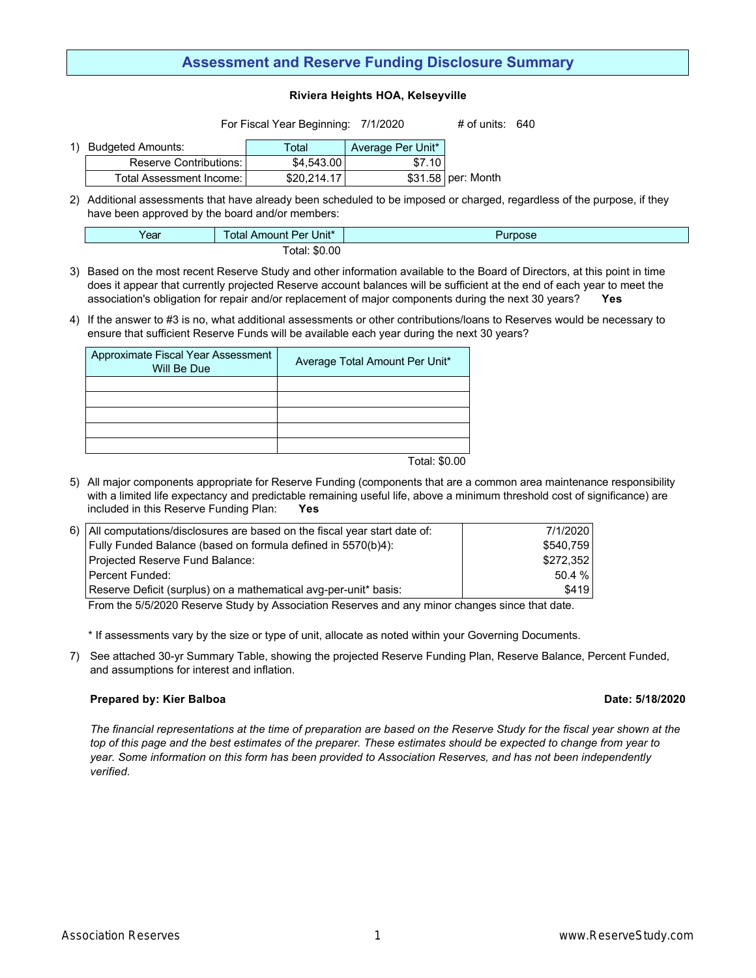# **Assessment and Reserve Funding Disclosure Summary**

### **Riviera Heights HOA, Kelseyville**

For Fiscal Year Beginning: 7/1/2020 # of units: 640

| Budgeted Amounts:          | Total       | Average Per Unit* |                     |
|----------------------------|-------------|-------------------|---------------------|
| Reserve Contributions: I   | \$4.543.00  | \$7.10            |                     |
| Total Assessment Income: I | \$20.214.17 |                   | $$31.58$ per: Month |

2) Additional assessments that have already been scheduled to be imposed or charged, regardless of the purpose, if they have been approved by the board and/or members:

| Year | Unit*<br>otal<br>Per.<br>Amount F | urpose |  |  |
|------|-----------------------------------|--------|--|--|
|      | otal: \$0.00                      |        |  |  |

- 3) Based on the most recent Reserve Study and other information available to the Board of Directors, at this point in time does it appear that currently projected Reserve account balances will be sufficient at the end of each year to meet the association's obligation for repair and/or replacement of major components during the next 30 years? **Yes**
- 4) If the answer to #3 is no, what additional assessments or other contributions/loans to Reserves would be necessary to ensure that sufficient Reserve Funds will be available each year during the next 30 years?

| Approximate Fiscal Year Assessment<br>Will Be Due | Average Total Amount Per Unit* |  |  |  |
|---------------------------------------------------|--------------------------------|--|--|--|
|                                                   |                                |  |  |  |
|                                                   |                                |  |  |  |
|                                                   |                                |  |  |  |
|                                                   |                                |  |  |  |
|                                                   |                                |  |  |  |

Total: \$0.00

5) All major components appropriate for Reserve Funding (components that are a common area maintenance responsibility with a limited life expectancy and predictable remaining useful life, above a minimum threshold cost of significance) are included in this Reserve Funding Plan: **Yes**

| 6)   All computations/disclosures are based on the fiscal year start date of: | 7/1/2020  |
|-------------------------------------------------------------------------------|-----------|
| Fully Funded Balance (based on formula defined in 5570(b)4):                  | \$540.759 |
| Projected Reserve Fund Balance:                                               | \$272.352 |
| l Percent Funded:                                                             | 50.4%     |
| Reserve Deficit (surplus) on a mathematical avg-per-unit* basis:              | \$419     |

From the 5/5/2020 Reserve Study by Association Reserves and any minor changes since that date.

\* If assessments vary by the size or type of unit, allocate as noted within your Governing Documents.

7) See attached 30-yr Summary Table, showing the projected Reserve Funding Plan, Reserve Balance, Percent Funded, and assumptions for interest and inflation.

## **Prepared by: Kier Balboa Date: 5/18/2020**

*The financial representations at the time of preparation are based on the Reserve Study for the fiscal year shown at the top of this page and the best estimates of the preparer. These estimates should be expected to change from year to year. Some information on this form has been provided to Association Reserves, and has not been independently verified.*